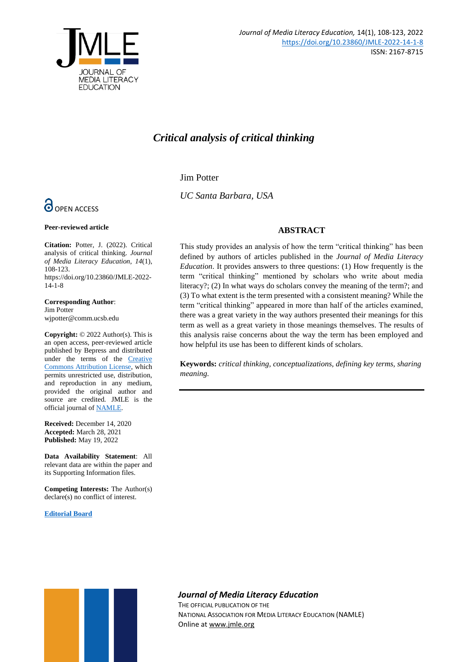

# *Critical analysis of critical thinking*

Jim Potter

*UC Santa Barbara, USA*

# **ABSTRACT**

This study provides an analysis of how the term "critical thinking" has been defined by authors of articles published in the *Journal of Media Literacy Education*. It provides answers to three questions: (1) How frequently is the term "critical thinking" mentioned by scholars who write about media literacy?; (2) In what ways do scholars convey the meaning of the term?; and (3) To what extent is the term presented with a consistent meaning? While the term "critical thinking" appeared in more than half of the articles examined, there was a great variety in the way authors presented their meanings for this term as well as a great variety in those meanings themselves. The results of this analysis raise concerns about the way the term has been employed and how helpful its use has been to different kinds of scholars.

**Keywords:** *critical thinking, conceptualizations, defining key terms, sharing meaning.*



**Peer-reviewed article**

**Citation:** Potter, J. (2022). Critical analysis of critical thinking. *Journal of Media Literacy Education, 14*(1), 108-123. https://doi.org/10.23860/JMLE-2022- 14-1-8

**Corresponding Author**: Jim Potter wjpotter@comm.ucsb.edu

**Copyright:** © 2022 Author(s). This is an open access, peer-reviewed article published by Bepress and distributed under the terms of the [Creative](https://creativecommons.org/licenses/by/4.0/)  [Commons Attribution License,](https://creativecommons.org/licenses/by/4.0/) which permits unrestricted use, distribution, and reproduction in any medium, provided the original author and source are credited. JMLE is the official journal o[f NAMLE.](https://namle.net/)

**Received:** December 14, 2020 **Accepted:** March 28, 2021 **Published:** May 19, 2022

**Data Availability Statement**: All relevant data are within the paper and its Supporting Information files.

**Competing Interests:** The Author(s) declare(s) no conflict of interest.

**[Editorial Board](https://digitalcommons.uri.edu/jmle/editorialboard.html)**



# *Journal of Media Literacy Education*

THE OFFICIAL PUBLICATION OF THE NATIONAL ASSOCIATION FOR MEDIA LITERACY EDUCATION (NAMLE) Online at [www.jmle.org](http://www.jmle.org/)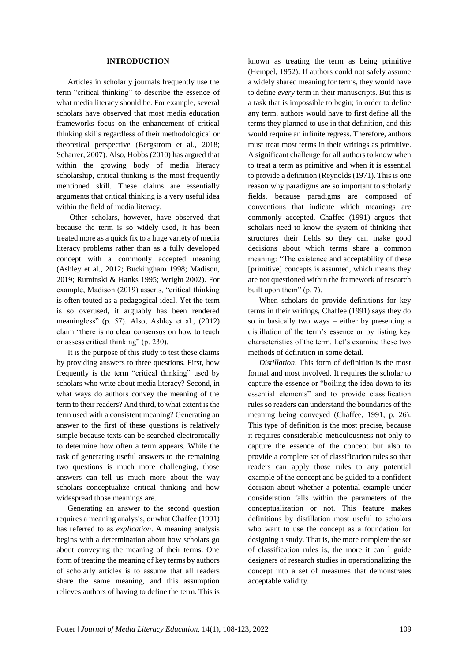### **INTRODUCTION**

Articles in scholarly journals frequently use the term "critical thinking" to describe the essence of what media literacy should be. For example, several scholars have observed that most media education frameworks focus on the enhancement of critical thinking skills regardless of their methodological or theoretical perspective (Bergstrom et al., 2018; Scharrer, 2007). Also, Hobbs (2010) has argued that within the growing body of media literacy scholarship, critical thinking is the most frequently mentioned skill. These claims are essentially arguments that critical thinking is a very useful idea within the field of media literacy.

Other scholars, however, have observed that because the term is so widely used, it has been treated more as a quick fix to a huge variety of media literacy problems rather than as a fully developed concept with a commonly accepted meaning (Ashley et al., 2012; Buckingham 1998; Madison, 2019; Ruminski & Hanks 1995; Wright 2002). For example, Madison (2019) asserts, "critical thinking is often touted as a pedagogical ideal. Yet the term is so overused, it arguably has been rendered meaningless" (p. 57). Also, Ashley et al., (2012) claim "there is no clear consensus on how to teach or assess critical thinking" (p. 230).

It is the purpose of this study to test these claims by providing answers to three questions. First, how frequently is the term "critical thinking" used by scholars who write about media literacy? Second, in what ways do authors convey the meaning of the term to their readers? And third, to what extent is the term used with a consistent meaning? Generating an answer to the first of these questions is relatively simple because texts can be searched electronically to determine how often a term appears. While the task of generating useful answers to the remaining two questions is much more challenging, those answers can tell us much more about the way scholars conceptualize critical thinking and how widespread those meanings are.

Generating an answer to the second question requires a meaning analysis, or what Chaffee (1991) has referred to as *explication*. A meaning analysis begins with a determination about how scholars go about conveying the meaning of their terms. One form of treating the meaning of key terms by authors of scholarly articles is to assume that all readers share the same meaning, and this assumption relieves authors of having to define the term. This is

known as treating the term as being primitive (Hempel, 1952). If authors could not safely assume a widely shared meaning for terms, they would have to define *every* term in their manuscripts. But this is a task that is impossible to begin; in order to define any term, authors would have to first define all the terms they planned to use in that definition, and this would require an infinite regress. Therefore, authors must treat most terms in their writings as primitive. A significant challenge for all authors to know when to treat a term as primitive and when it is essential to provide a definition (Reynolds (1971). This is one reason why paradigms are so important to scholarly fields, because paradigms are composed of conventions that indicate which meanings are commonly accepted. Chaffee (1991) argues that scholars need to know the system of thinking that structures their fields so they can make good decisions about which terms share a common meaning: "The existence and acceptability of these [primitive] concepts is assumed, which means they are not questioned within the framework of research built upon them" (p. 7).

When scholars do provide definitions for key terms in their writings, Chaffee (1991) says they do so in basically two ways – either by presenting a distillation of the term's essence or by listing key characteristics of the term. Let's examine these two methods of definition in some detail.

*Distillation*. This form of definition is the most formal and most involved. It requires the scholar to capture the essence or "boiling the idea down to its essential elements" and to provide classification rules so readers can understand the boundaries of the meaning being conveyed (Chaffee, 1991, p. 26). This type of definition is the most precise, because it requires considerable meticulousness not only to capture the essence of the concept but also to provide a complete set of classification rules so that readers can apply those rules to any potential example of the concept and be guided to a confident decision about whether a potential example under consideration falls within the parameters of the conceptualization or not. This feature makes definitions by distillation most useful to scholars who want to use the concept as a foundation for designing a study. That is, the more complete the set of classification rules is, the more it can l guide designers of research studies in operationalizing the concept into a set of measures that demonstrates acceptable validity.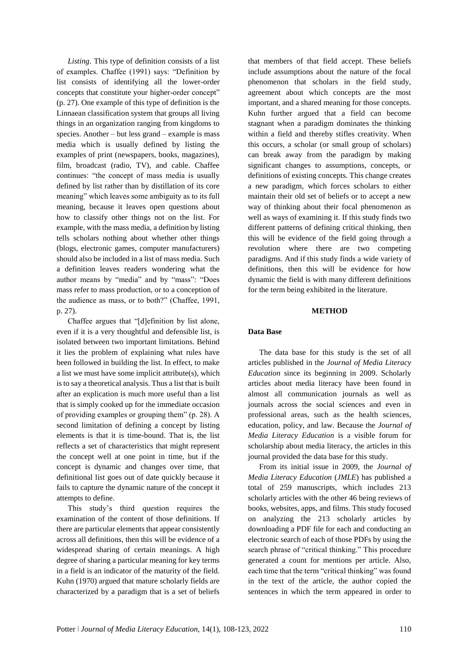*Listing*. This type of definition consists of a list of examples. Chaffee (1991) says: "Definition by list consists of identifying all the lower-order concepts that constitute your higher-order concept" (p. 27). One example of this type of definition is the Linnaean classification system that groups all living things in an organization ranging from kingdoms to species. Another – but less grand – example is mass media which is usually defined by listing the examples of print (newspapers, books, magazines), film, broadcast (radio, TV), and cable. Chaffee continues: "the concept of mass media is usually defined by list rather than by distillation of its core meaning" which leaves some ambiguity as to its full meaning, because it leaves open questions about how to classify other things not on the list. For example, with the mass media, a definition by listing tells scholars nothing about whether other things (blogs, electronic games, computer manufacturers) should also be included in a list of mass media. Such a definition leaves readers wondering what the author means by "media" and by "mass": "Does mass refer to mass production, or to a conception of the audience as mass, or to both?" (Chaffee, 1991, p. 27).

Chaffee argues that "[d]efinition by list alone, even if it is a very thoughtful and defensible list, is isolated between two important limitations. Behind it lies the problem of explaining what rules have been followed in building the list. In effect, to make a list we must have some implicit attribute(s), which is to say a theoretical analysis. Thus a list that is built after an explication is much more useful than a list that is simply cooked up for the immediate occasion of providing examples or grouping them" (p. 28). A second limitation of defining a concept by listing elements is that it is time-bound. That is, the list reflects a set of characteristics that might represent the concept well at one point in time, but if the concept is dynamic and changes over time, that definitional list goes out of date quickly because it fails to capture the dynamic nature of the concept it attempts to define.

This study's third question requires the examination of the content of those definitions. If there are particular elements that appear consistently across all definitions, then this will be evidence of a widespread sharing of certain meanings. A high degree of sharing a particular meaning for key terms in a field is an indicator of the maturity of the field. Kuhn (1970) argued that mature scholarly fields are characterized by a paradigm that is a set of beliefs

that members of that field accept. These beliefs include assumptions about the nature of the focal phenomenon that scholars in the field study, agreement about which concepts are the most important, and a shared meaning for those concepts. Kuhn further argued that a field can become stagnant when a paradigm dominates the thinking within a field and thereby stifles creativity. When this occurs, a scholar (or small group of scholars) can break away from the paradigm by making significant changes to assumptions, concepts, or definitions of existing concepts. This change creates a new paradigm, which forces scholars to either maintain their old set of beliefs or to accept a new way of thinking about their focal phenomenon as well as ways of examining it. If this study finds two different patterns of defining critical thinking, then this will be evidence of the field going through a revolution where there are two competing paradigms. And if this study finds a wide variety of definitions, then this will be evidence for how dynamic the field is with many different definitions for the term being exhibited in the literature.

#### **METHOD**

# **Data Base**

The data base for this study is the set of all articles published in the *Journal of Media Literacy Education* since its beginning in 2009. Scholarly articles about media literacy have been found in almost all communication journals as well as journals across the social sciences and even in professional areas, such as the health sciences, education, policy, and law. Because the *Journal of Media Literacy Education* is a visible forum for scholarship about media literacy, the articles in this journal provided the data base for this study.

From its initial issue in 2009, the *Journal of Media Literacy Education* (*JMLE*) has published a total of 259 manuscripts, which includes 213 scholarly articles with the other 46 being reviews of books, websites, apps, and films. This study focused on analyzing the 213 scholarly articles by downloading a PDF file for each and conducting an electronic search of each of those PDFs by using the search phrase of "critical thinking." This procedure generated a count for mentions per article. Also, each time that the term "critical thinking" was found in the text of the article, the author copied the sentences in which the term appeared in order to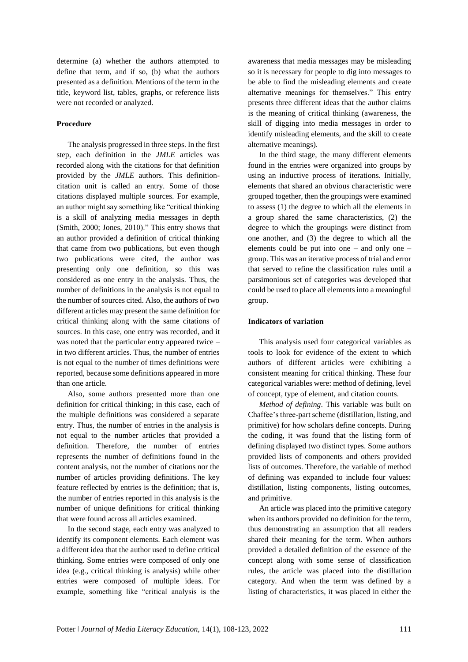determine (a) whether the authors attempted to define that term, and if so, (b) what the authors presented as a definition. Mentions of the term in the title, keyword list, tables, graphs, or reference lists were not recorded or analyzed.

# **Procedure**

The analysis progressed in three steps. In the first step, each definition in the *JMLE* articles was recorded along with the citations for that definition provided by the *JMLE* authors. This definitioncitation unit is called an entry. Some of those citations displayed multiple sources. For example, an author might say something like "critical thinking is a skill of analyzing media messages in depth (Smith, 2000; Jones, 2010)." This entry shows that an author provided a definition of critical thinking that came from two publications, but even though two publications were cited, the author was presenting only one definition, so this was considered as one entry in the analysis. Thus, the number of definitions in the analysis is not equal to the number of sources cited. Also, the authors of two different articles may present the same definition for critical thinking along with the same citations of sources. In this case, one entry was recorded, and it was noted that the particular entry appeared twice – in two different articles. Thus, the number of entries is not equal to the number of times definitions were reported, because some definitions appeared in more than one article.

Also, some authors presented more than one definition for critical thinking; in this case, each of the multiple definitions was considered a separate entry. Thus, the number of entries in the analysis is not equal to the number articles that provided a definition. Therefore, the number of entries represents the number of definitions found in the content analysis, not the number of citations nor the number of articles providing definitions. The key feature reflected by entries is the definition; that is, the number of entries reported in this analysis is the number of unique definitions for critical thinking that were found across all articles examined.

In the second stage, each entry was analyzed to identify its component elements. Each element was a different idea that the author used to define critical thinking. Some entries were composed of only one idea (e.g., critical thinking is analysis) while other entries were composed of multiple ideas. For example, something like "critical analysis is the

awareness that media messages may be misleading so it is necessary for people to dig into messages to be able to find the misleading elements and create alternative meanings for themselves." This entry presents three different ideas that the author claims is the meaning of critical thinking (awareness, the skill of digging into media messages in order to identify misleading elements, and the skill to create alternative meanings).

In the third stage, the many different elements found in the entries were organized into groups by using an inductive process of iterations. Initially, elements that shared an obvious characteristic were grouped together, then the groupings were examined to assess (1) the degree to which all the elements in a group shared the same characteristics, (2) the degree to which the groupings were distinct from one another, and (3) the degree to which all the elements could be put into one – and only one – group. This was an iterative process of trial and error that served to refine the classification rules until a parsimonious set of categories was developed that could be used to place all elements into a meaningful group.

# **Indicators of variation**

This analysis used four categorical variables as tools to look for evidence of the extent to which authors of different articles were exhibiting a consistent meaning for critical thinking. These four categorical variables were: method of defining, level of concept, type of element, and citation counts.

*Method of defining*. This variable was built on Chaffee's three-part scheme (distillation, listing, and primitive) for how scholars define concepts. During the coding, it was found that the listing form of defining displayed two distinct types. Some authors provided lists of components and others provided lists of outcomes. Therefore, the variable of method of defining was expanded to include four values: distillation, listing components, listing outcomes, and primitive.

An article was placed into the primitive category when its authors provided no definition for the term, thus demonstrating an assumption that all readers shared their meaning for the term. When authors provided a detailed definition of the essence of the concept along with some sense of classification rules, the article was placed into the distillation category. And when the term was defined by a listing of characteristics, it was placed in either the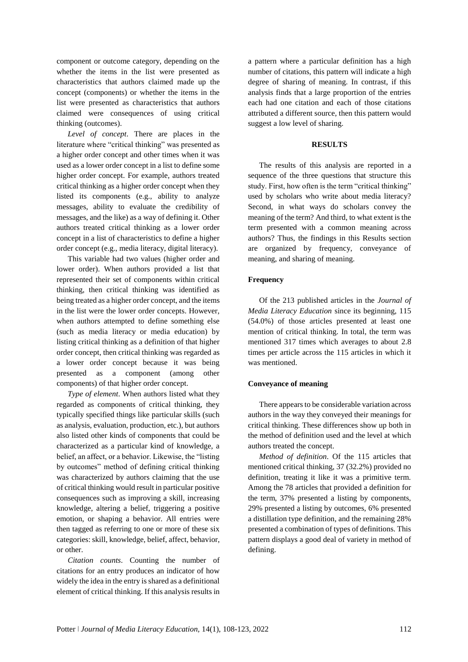component or outcome category, depending on the whether the items in the list were presented as characteristics that authors claimed made up the concept (components) or whether the items in the list were presented as characteristics that authors claimed were consequences of using critical thinking (outcomes).

*Level of concept*. There are places in the literature where "critical thinking" was presented as a higher order concept and other times when it was used as a lower order concept in a list to define some higher order concept. For example, authors treated critical thinking as a higher order concept when they listed its components (e.g., ability to analyze messages, ability to evaluate the credibility of messages, and the like) as a way of defining it. Other authors treated critical thinking as a lower order concept in a list of characteristics to define a higher order concept (e.g., media literacy, digital literacy).

This variable had two values (higher order and lower order). When authors provided a list that represented their set of components within critical thinking, then critical thinking was identified as being treated as a higher order concept, and the items in the list were the lower order concepts. However, when authors attempted to define something else (such as media literacy or media education) by listing critical thinking as a definition of that higher order concept, then critical thinking was regarded as a lower order concept because it was being presented as a component (among other components) of that higher order concept.

*Type of element*. When authors listed what they regarded as components of critical thinking, they typically specified things like particular skills (such as analysis, evaluation, production, etc.), but authors also listed other kinds of components that could be characterized as a particular kind of knowledge, a belief, an affect, or a behavior. Likewise, the "listing by outcomes" method of defining critical thinking was characterized by authors claiming that the use of critical thinking would result in particular positive consequences such as improving a skill, increasing knowledge, altering a belief, triggering a positive emotion, or shaping a behavior. All entries were then tagged as referring to one or more of these six categories: skill, knowledge, belief, affect, behavior, or other.

*Citation counts*. Counting the number of citations for an entry produces an indicator of how widely the idea in the entry is shared as a definitional element of critical thinking. If this analysis results in

a pattern where a particular definition has a high number of citations, this pattern will indicate a high degree of sharing of meaning. In contrast, if this analysis finds that a large proportion of the entries each had one citation and each of those citations attributed a different source, then this pattern would suggest a low level of sharing.

# **RESULTS**

The results of this analysis are reported in a sequence of the three questions that structure this study. First, how often is the term "critical thinking" used by scholars who write about media literacy? Second, in what ways do scholars convey the meaning of the term? And third, to what extent is the term presented with a common meaning across authors? Thus, the findings in this Results section are organized by frequency, conveyance of meaning, and sharing of meaning.

### **Frequency**

Of the 213 published articles in the *Journal of Media Literacy Education* since its beginning, 115 (54.0%) of those articles presented at least one mention of critical thinking. In total, the term was mentioned 317 times which averages to about 2.8 times per article across the 115 articles in which it was mentioned.

#### **Conveyance of meaning**

There appears to be considerable variation across authors in the way they conveyed their meanings for critical thinking. These differences show up both in the method of definition used and the level at which authors treated the concept.

*Method of definition*. Of the 115 articles that mentioned critical thinking, 37 (32.2%) provided no definition, treating it like it was a primitive term. Among the 78 articles that provided a definition for the term, 37% presented a listing by components, 29% presented a listing by outcomes, 6% presented a distillation type definition, and the remaining 28% presented a combination of types of definitions. This pattern displays a good deal of variety in method of defining.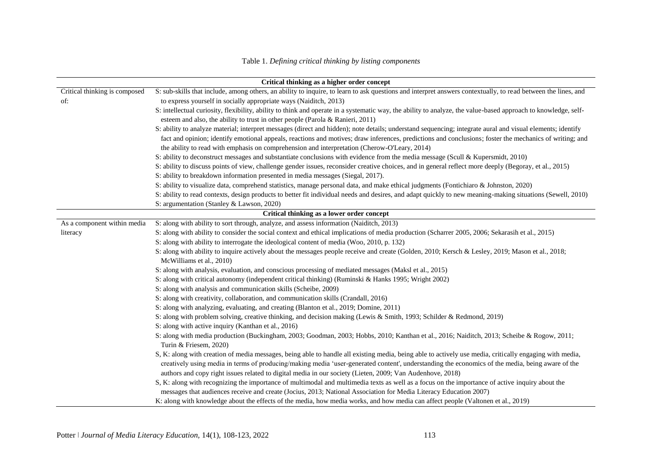|                                            | Critical thinking as a higher order concept                                                                                                                                                                                                                                                                                                                                                                              |  |
|--------------------------------------------|--------------------------------------------------------------------------------------------------------------------------------------------------------------------------------------------------------------------------------------------------------------------------------------------------------------------------------------------------------------------------------------------------------------------------|--|
| Critical thinking is composed              | S: sub-skills that include, among others, an ability to inquire, to learn to ask questions and interpret answers contextually, to read between the lines, and                                                                                                                                                                                                                                                            |  |
| of:                                        | to express yourself in socially appropriate ways (Naiditch, 2013)                                                                                                                                                                                                                                                                                                                                                        |  |
|                                            | S: intellectual curiosity, flexibility, ability to think and operate in a systematic way, the ability to analyze, the value-based approach to knowledge, self-                                                                                                                                                                                                                                                           |  |
|                                            | esteem and also, the ability to trust in other people (Parola & Ranieri, 2011)                                                                                                                                                                                                                                                                                                                                           |  |
|                                            | S: ability to analyze material; interpret messages (direct and hidden); note details; understand sequencing; integrate aural and visual elements; identify                                                                                                                                                                                                                                                               |  |
|                                            | fact and opinion; identify emotional appeals, reactions and motives; draw inferences, predictions and conclusions; foster the mechanics of writing; and                                                                                                                                                                                                                                                                  |  |
|                                            | the ability to read with emphasis on comprehension and interpretation (Cherow-O'Leary, 2014)                                                                                                                                                                                                                                                                                                                             |  |
|                                            | S: ability to deconstruct messages and substantiate conclusions with evidence from the media message (Scull & Kupersmidt, 2010)                                                                                                                                                                                                                                                                                          |  |
|                                            | S: ability to discuss points of view, challenge gender issues, reconsider creative choices, and in general reflect more deeply (Begoray, et al., 2015)                                                                                                                                                                                                                                                                   |  |
|                                            | S: ability to breakdown information presented in media messages (Siegal, 2017).                                                                                                                                                                                                                                                                                                                                          |  |
|                                            | S: ability to visualize data, comprehend statistics, manage personal data, and make ethical judgments (Fontichiaro & Johnston, 2020)                                                                                                                                                                                                                                                                                     |  |
|                                            | S: ability to read contexts, design products to better fit individual needs and desires, and adapt quickly to new meaning-making situations (Sewell, 2010)                                                                                                                                                                                                                                                               |  |
|                                            | S: argumentation (Stanley & Lawson, 2020)                                                                                                                                                                                                                                                                                                                                                                                |  |
| Critical thinking as a lower order concept |                                                                                                                                                                                                                                                                                                                                                                                                                          |  |
| As a component within media                | S: along with ability to sort through, analyze, and assess information (Naiditch, 2013)                                                                                                                                                                                                                                                                                                                                  |  |
| literacy                                   | S: along with ability to consider the social context and ethical implications of media production (Scharrer 2005, 2006; Sekarasih et al., 2015)                                                                                                                                                                                                                                                                          |  |
|                                            | S: along with ability to interrogate the ideological content of media (Woo, 2010, p. 132)                                                                                                                                                                                                                                                                                                                                |  |
|                                            | S: along with ability to inquire actively about the messages people receive and create (Golden, 2010; Kersch & Lesley, 2019; Mason et al., 2018;<br>McWilliams et al., 2010)                                                                                                                                                                                                                                             |  |
|                                            | S: along with analysis, evaluation, and conscious processing of mediated messages (Maksl et al., 2015)                                                                                                                                                                                                                                                                                                                   |  |
|                                            | S: along with critical autonomy (independent critical thinking) (Ruminski & Hanks 1995; Wright 2002)                                                                                                                                                                                                                                                                                                                     |  |
|                                            | S: along with analysis and communication skills (Scheibe, 2009)                                                                                                                                                                                                                                                                                                                                                          |  |
|                                            | S: along with creativity, collaboration, and communication skills (Crandall, 2016)                                                                                                                                                                                                                                                                                                                                       |  |
|                                            | S: along with analyzing, evaluating, and creating (Blanton et al., 2019; Domine, 2011)                                                                                                                                                                                                                                                                                                                                   |  |
|                                            | S: along with problem solving, creative thinking, and decision making (Lewis & Smith, 1993; Schilder & Redmond, 2019)                                                                                                                                                                                                                                                                                                    |  |
|                                            | S: along with active inquiry (Kanthan et al., 2016)                                                                                                                                                                                                                                                                                                                                                                      |  |
|                                            | S: along with media production (Buckingham, 2003; Goodman, 2003; Hobbs, 2010; Kanthan et al., 2016; Naiditch, 2013; Scheibe & Rogow, 2011;<br>Turin & Friesem, 2020)                                                                                                                                                                                                                                                     |  |
|                                            | S, K: along with creation of media messages, being able to handle all existing media, being able to actively use media, critically engaging with media,<br>creatively using media in terms of producing/making media 'user-generated content', understanding the economics of the media, being aware of the<br>authors and copy right issues related to digital media in our society (Lieten, 2009; Van Audenhove, 2018) |  |
|                                            | S, K: along with recognizing the importance of multimodal and multimedia texts as well as a focus on the importance of active inquiry about the<br>messages that audiences receive and create (Jocius, 2013; National Association for Media Literacy Education 2007)                                                                                                                                                     |  |
|                                            | K: along with knowledge about the effects of the media, how media works, and how media can affect people (Valtonen et al., 2019)                                                                                                                                                                                                                                                                                         |  |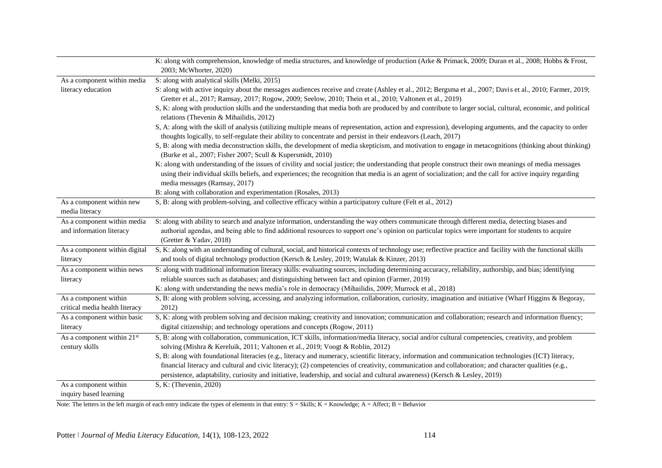|                                             | K: along with comprehension, knowledge of media structures, and knowledge of production (Arke & Primack, 2009; Duran et al., 2008; Hobbs & Frost,                                                                                                                                                                                                     |
|---------------------------------------------|-------------------------------------------------------------------------------------------------------------------------------------------------------------------------------------------------------------------------------------------------------------------------------------------------------------------------------------------------------|
|                                             | 2003; McWhorter, 2020)                                                                                                                                                                                                                                                                                                                                |
| As a component within media                 | S: along with analytical skills (Melki, 2015)                                                                                                                                                                                                                                                                                                         |
| literacy education                          | S: along with active inquiry about the messages audiences receive and create (Ashley et al., 2012; Bergsma et al., 2007; Davis et al., 2010; Farmer, 2019;                                                                                                                                                                                            |
|                                             | Gretter et al., 2017; Ramsay, 2017; Rogow, 2009; Seelow, 2010; Thein et al., 2010; Valtonen et al., 2019)                                                                                                                                                                                                                                             |
|                                             | S, K: along with production skills and the understanding that media both are produced by and contribute to larger social, cultural, economic, and political<br>relations (Thevenin & Mihailidis, 2012)                                                                                                                                                |
|                                             | S, A: along with the skill of analysis (utilizing multiple means of representation, action and expression), developing arguments, and the capacity to order                                                                                                                                                                                           |
|                                             | thoughts logically, to self-regulate their ability to concentrate and persist in their endeavors (Leach, 2017)                                                                                                                                                                                                                                        |
|                                             | S, B: along with media deconstruction skills, the development of media skepticism, and motivation to engage in metacognitions (thinking about thinking)<br>(Burke et al., 2007; Fisher 2007; Scull & Kupersmidt, 2010)                                                                                                                                |
|                                             | K: along with understanding of the issues of civility and social justice; the understanding that people construct their own meanings of media messages<br>using their individual skills beliefs, and experiences; the recognition that media is an agent of socialization; and the call for active inquiry regarding<br>media messages (Ramsay, 2017) |
|                                             | B: along with collaboration and experimentation (Rosales, 2013)                                                                                                                                                                                                                                                                                       |
| As a component within new<br>media literacy | S, B: along with problem-solving, and collective efficacy within a participatory culture (Felt et al., 2012)                                                                                                                                                                                                                                          |
| As a component within media                 | S: along with ability to search and analyze information, understanding the way others communicate through different media, detecting biases and                                                                                                                                                                                                       |
| and information literacy                    | authorial agendas, and being able to find additional resources to support one's opinion on particular topics were important for students to acquire<br>(Gretter & Yadav, 2018)                                                                                                                                                                        |
| As a component within digital               | S, K: along with an understanding of cultural, social, and historical contexts of technology use; reflective practice and facility with the functional skills                                                                                                                                                                                         |
| literacy                                    | and tools of digital technology production (Kersch & Lesley, 2019; Watulak & Kinzer, 2013)                                                                                                                                                                                                                                                            |
| As a component within news                  | S: along with traditional information literacy skills: evaluating sources, including determining accuracy, reliability, authorship, and bias; identifying                                                                                                                                                                                             |
| literacy                                    | reliable sources such as databases; and distinguishing between fact and opinion (Farmer, 2019)                                                                                                                                                                                                                                                        |
|                                             | K: along with understanding the news media's role in democracy (Mihailidis, 2009; Murrock et al., 2018)                                                                                                                                                                                                                                               |
| As a component within                       | S, B: along with problem solving, accessing, and analyzing information, collaboration, curiosity, imagination and initiative (Wharf Higgins & Begoray,                                                                                                                                                                                                |
| critical media health literacy              | 2012)                                                                                                                                                                                                                                                                                                                                                 |
| As a component within basic                 | S, K: along with problem solving and decision making; creativity and innovation; communication and collaboration; research and information fluency;                                                                                                                                                                                                   |
| literacy                                    | digital citizenship; and technology operations and concepts (Rogow, 2011)                                                                                                                                                                                                                                                                             |
| As a component within 21st                  | S, B: along with collaboration, communication, ICT skills, information/media literacy, social and/or cultural competencies, creativity, and problem                                                                                                                                                                                                   |
| century skills                              | solving (Mishra & Kereluik, 2011; Valtonen et al., 2019; Voogt & Roblin, 2012)                                                                                                                                                                                                                                                                        |
|                                             | S, B: along with foundational literacies (e.g., literacy and numeracy, scientific literacy, information and communication technologies (ICT) literacy,                                                                                                                                                                                                |
|                                             | financial literacy and cultural and civic literacy); (2) competencies of creativity, communication and collaboration; and character qualities (e.g.,<br>persistence, adaptability, curiosity and initiative, leadership, and social and cultural awareness) (Kersch & Lesley, 2019)                                                                   |
| As a component within                       | S, K: (Thevenin, 2020)                                                                                                                                                                                                                                                                                                                                |
| inquiry based learning                      |                                                                                                                                                                                                                                                                                                                                                       |

Note: The letters in the left margin of each entry indicate the types of elements in that entry:  $S =$  Skills;  $K =$  Knowledge;  $A =$  Affect;  $B =$  Behavior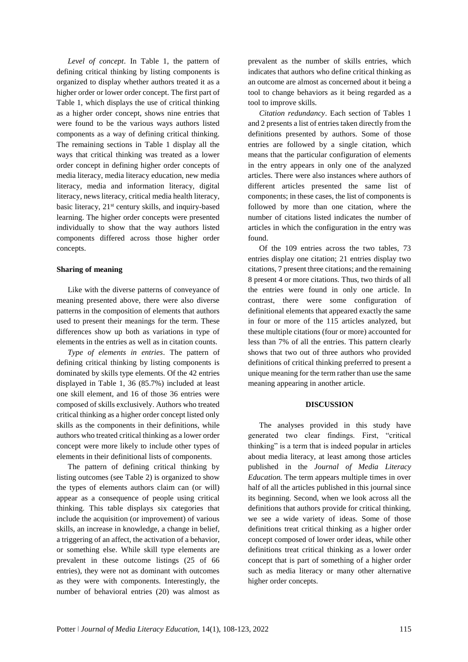*Level of concept*. In Table 1, the pattern of defining critical thinking by listing components is organized to display whether authors treated it as a higher order or lower order concept. The first part of Table 1, which displays the use of critical thinking as a higher order concept, shows nine entries that were found to be the various ways authors listed components as a way of defining critical thinking. The remaining sections in Table 1 display all the ways that critical thinking was treated as a lower order concept in defining higher order concepts of media literacy, media literacy education, new media literacy, media and information literacy, digital literacy, news literacy, critical media health literacy, basic literacy,  $21<sup>st</sup>$  century skills, and inquiry-based learning. The higher order concepts were presented individually to show that the way authors listed components differed across those higher order concepts.

### **Sharing of meaning**

Like with the diverse patterns of conveyance of meaning presented above, there were also diverse patterns in the composition of elements that authors used to present their meanings for the term. These differences show up both as variations in type of elements in the entries as well as in citation counts.

*Type of elements in entries*. The pattern of defining critical thinking by listing components is dominated by skills type elements. Of the 42 entries displayed in Table 1, 36 (85.7%) included at least one skill element, and 16 of those 36 entries were composed of skills exclusively. Authors who treated critical thinking as a higher order concept listed only skills as the components in their definitions, while authors who treated critical thinking as a lower order concept were more likely to include other types of elements in their definitional lists of components.

The pattern of defining critical thinking by listing outcomes (see Table 2) is organized to show the types of elements authors claim can (or will) appear as a consequence of people using critical thinking. This table displays six categories that include the acquisition (or improvement) of various skills, an increase in knowledge, a change in belief, a triggering of an affect, the activation of a behavior, or something else. While skill type elements are prevalent in these outcome listings (25 of 66 entries), they were not as dominant with outcomes as they were with components. Interestingly, the number of behavioral entries (20) was almost as

prevalent as the number of skills entries, which indicates that authors who define critical thinking as an outcome are almost as concerned about it being a tool to change behaviors as it being regarded as a tool to improve skills.

*Citation redundancy*. Each section of Tables 1 and 2 presents a list of entries taken directly from the definitions presented by authors. Some of those entries are followed by a single citation, which means that the particular configuration of elements in the entry appears in only one of the analyzed articles. There were also instances where authors of different articles presented the same list of components; in these cases, the list of components is followed by more than one citation, where the number of citations listed indicates the number of articles in which the configuration in the entry was found.

Of the 109 entries across the two tables, 73 entries display one citation; 21 entries display two citations, 7 present three citations; and the remaining 8 present 4 or more citations. Thus, two thirds of all the entries were found in only one article. In contrast, there were some configuration of definitional elements that appeared exactly the same in four or more of the 115 articles analyzed, but these multiple citations (four or more) accounted for less than 7% of all the entries. This pattern clearly shows that two out of three authors who provided definitions of critical thinking preferred to present a unique meaning for the term rather than use the same meaning appearing in another article.

## **DISCUSSION**

The analyses provided in this study have generated two clear findings. First, "critical thinking" is a term that is indeed popular in articles about media literacy, at least among those articles published in the *Journal of Media Literacy Education.* The term appears multiple times in over half of all the articles published in this journal since its beginning. Second, when we look across all the definitions that authors provide for critical thinking, we see a wide variety of ideas. Some of those definitions treat critical thinking as a higher order concept composed of lower order ideas, while other definitions treat critical thinking as a lower order concept that is part of something of a higher order such as media literacy or many other alternative higher order concepts.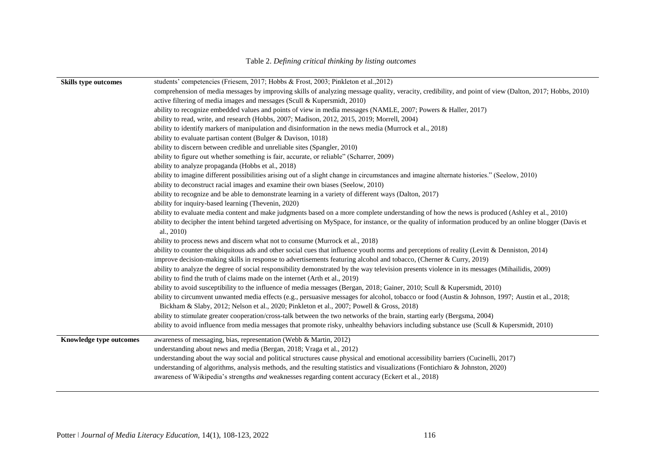| <b>Skills type outcomes</b> | students' competencies (Friesem, 2017; Hobbs & Frost, 2003; Pinkleton et al., 2012)                                                                                      |
|-----------------------------|--------------------------------------------------------------------------------------------------------------------------------------------------------------------------|
|                             | comprehension of media messages by improving skills of analyzing message quality, veracity, credibility, and point of view (Dalton, 2017; Hobbs, 2010)                   |
|                             | active filtering of media images and messages (Scull & Kupersmidt, 2010)                                                                                                 |
|                             | ability to recognize embedded values and points of view in media messages (NAMLE, 2007; Powers & Haller, 2017)                                                           |
|                             | ability to read, write, and research (Hobbs, 2007; Madison, 2012, 2015, 2019; Morrell, 2004)                                                                             |
|                             | ability to identify markers of manipulation and disinformation in the news media (Murrock et al., 2018)                                                                  |
|                             | ability to evaluate partisan content (Bulger & Davison, 1018)                                                                                                            |
|                             | ability to discern between credible and unreliable sites (Spangler, 2010)                                                                                                |
|                             | ability to figure out whether something is fair, accurate, or reliable" (Scharrer, 2009)                                                                                 |
|                             | ability to analyze propaganda (Hobbs et al., 2018)                                                                                                                       |
|                             | ability to imagine different possibilities arising out of a slight change in circumstances and imagine alternate histories." (Seelow, 2010)                              |
|                             | ability to deconstruct racial images and examine their own biases (Seelow, 2010)                                                                                         |
|                             | ability to recognize and be able to demonstrate learning in a variety of different ways (Dalton, 2017)                                                                   |
|                             | ability for inquiry-based learning (Thevenin, 2020)                                                                                                                      |
|                             | ability to evaluate media content and make judgments based on a more complete understanding of how the news is produced (Ashley et al., 2010)                            |
|                             | ability to decipher the intent behind targeted advertising on MySpace, for instance, or the quality of information produced by an online blogger (Davis et<br>al., 2010) |
|                             | ability to process news and discern what not to consume (Murrock et al., 2018)                                                                                           |
|                             | ability to counter the ubiquitous ads and other social cues that influence youth norms and perceptions of reality (Levitt & Denniston, 2014)                             |
|                             | improve decision-making skills in response to advertisements featuring alcohol and tobacco, (Cherner & Curry, 2019)                                                      |
|                             | ability to analyze the degree of social responsibility demonstrated by the way television presents violence in its messages (Mihailidis, 2009)                           |
|                             | ability to find the truth of claims made on the internet (Arth et al., 2019)                                                                                             |
|                             | ability to avoid susceptibility to the influence of media messages (Bergan, 2018; Gainer, 2010; Scull & Kupersmidt, 2010)                                                |
|                             | ability to circumvent unwanted media effects (e.g., persuasive messages for alcohol, tobacco or food (Austin & Johnson, 1997; Austin et al., 2018;                       |
|                             | Bickham & Slaby, 2012; Nelson et al., 2020; Pinkleton et al., 2007; Powell & Gross, 2018)                                                                                |
|                             | ability to stimulate greater cooperation/cross-talk between the two networks of the brain, starting early (Bergsma, 2004)                                                |
|                             | ability to avoid influence from media messages that promote risky, unhealthy behaviors including substance use (Scull & Kupersmidt, 2010)                                |
| Knowledge type outcomes     | awareness of messaging, bias, representation (Webb & Martin, 2012)                                                                                                       |
|                             | understanding about news and media (Bergan, 2018; Vraga et al., 2012)                                                                                                    |
|                             | understanding about the way social and political structures cause physical and emotional accessibility barriers (Cucinelli, 2017)                                        |
|                             | understanding of algorithms, analysis methods, and the resulting statistics and visualizations (Fontichiaro & Johnston, 2020)                                            |
|                             | awareness of Wikipedia's strengths and weaknesses regarding content accuracy (Eckert et al., 2018)                                                                       |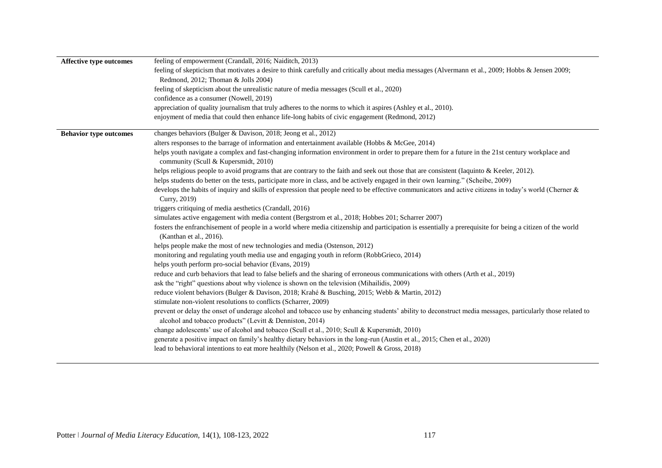| <b>Affective type outcomes</b> | feeling of empowerment (Crandall, 2016; Naiditch, 2013)                                                                                                                                                                |
|--------------------------------|------------------------------------------------------------------------------------------------------------------------------------------------------------------------------------------------------------------------|
|                                | feeling of skepticism that motivates a desire to think carefully and critically about media messages (Alvermann et al., 2009; Hobbs & Jensen 2009;<br>Redmond, 2012; Thoman & Jolls 2004)                              |
|                                | feeling of skepticism about the unrealistic nature of media messages (Scull et al., 2020)                                                                                                                              |
|                                | confidence as a consumer (Nowell, 2019)                                                                                                                                                                                |
|                                | appreciation of quality journalism that truly adheres to the norms to which it aspires (Ashley et al., 2010).                                                                                                          |
|                                | enjoyment of media that could then enhance life-long habits of civic engagement (Redmond, 2012)                                                                                                                        |
| <b>Behavior type outcomes</b>  | changes behaviors (Bulger & Davison, 2018; Jeong et al., 2012)                                                                                                                                                         |
|                                | alters responses to the barrage of information and entertainment available (Hobbs & McGee, 2014)                                                                                                                       |
|                                | helps youth navigate a complex and fast-changing information environment in order to prepare them for a future in the 21st century workplace and<br>community (Scull & Kupersmidt, 2010)                               |
|                                | helps religious people to avoid programs that are contrary to the faith and seek out those that are consistent (Iaquinto & Keeler, 2012).                                                                              |
|                                | helps students do better on the tests, participate more in class, and be actively engaged in their own learning." (Scheibe, 2009)                                                                                      |
|                                | develops the habits of inquiry and skills of expression that people need to be effective communicators and active citizens in today's world (Cherner &<br>Curry, 2019)                                                 |
|                                | triggers critiquing of media aesthetics (Crandall, 2016)                                                                                                                                                               |
|                                | simulates active engagement with media content (Bergstrom et al., 2018; Hobbes 201; Scharrer 2007)                                                                                                                     |
|                                | fosters the enfranchisement of people in a world where media citizenship and participation is essentially a prerequisite for being a citizen of the world<br>(Kanthan et al., 2016).                                   |
|                                | helps people make the most of new technologies and media (Ostenson, 2012)                                                                                                                                              |
|                                | monitoring and regulating youth media use and engaging youth in reform (RobbGrieco, 2014)                                                                                                                              |
|                                | helps youth perform pro-social behavior (Evans, 2019)                                                                                                                                                                  |
|                                | reduce and curb behaviors that lead to false beliefs and the sharing of erroneous communications with others (Arth et al., 2019)                                                                                       |
|                                | ask the "right" questions about why violence is shown on the television (Mihailidis, 2009)                                                                                                                             |
|                                | reduce violent behaviors (Bulger & Davison, 2018; Krahé & Busching, 2015; Webb & Martin, 2012)                                                                                                                         |
|                                | stimulate non-violent resolutions to conflicts (Scharrer, 2009)                                                                                                                                                        |
|                                | prevent or delay the onset of underage alcohol and tobacco use by enhancing students' ability to deconstruct media messages, particularly those related to<br>alcohol and tobacco products" (Levitt & Denniston, 2014) |
|                                | change adolescents' use of alcohol and tobacco (Scull et al., 2010; Scull & Kupersmidt, 2010)                                                                                                                          |
|                                | generate a positive impact on family's healthy dietary behaviors in the long-run (Austin et al., 2015; Chen et al., 2020)                                                                                              |
|                                | lead to behavioral intentions to eat more healthily (Nelson et al., 2020; Powell & Gross, 2018)                                                                                                                        |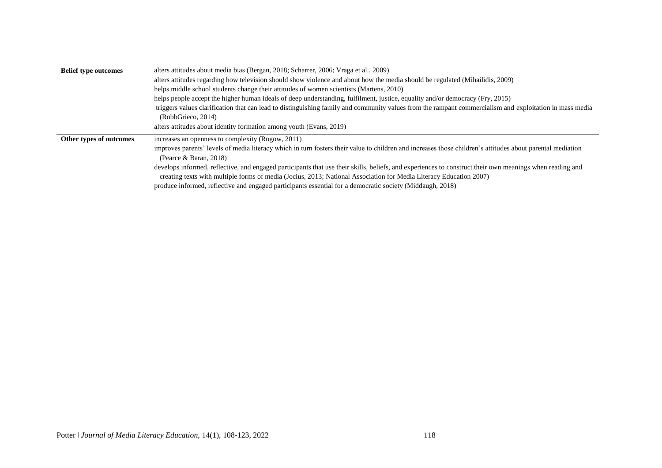| <b>Belief type outcomes</b> | alters attitudes about media bias (Bergan, 2018; Scharrer, 2006; Vraga et al., 2009)                                                                                                                                                                                                                                                                                                        |
|-----------------------------|---------------------------------------------------------------------------------------------------------------------------------------------------------------------------------------------------------------------------------------------------------------------------------------------------------------------------------------------------------------------------------------------|
|                             | alters attitudes regarding how television should show violence and about how the media should be regulated (Mihailidis, 2009)                                                                                                                                                                                                                                                               |
|                             | helps middle school students change their attitudes of women scientists (Martens, 2010)                                                                                                                                                                                                                                                                                                     |
|                             | helps people accept the higher human ideals of deep understanding, fulfilment, justice, equality and/or democracy (Fry, 2015)                                                                                                                                                                                                                                                               |
|                             | triggers values clarification that can lead to distinguishing family and community values from the rampant commercialism and exploitation in mass media                                                                                                                                                                                                                                     |
|                             | (RobbGrieco, 2014)                                                                                                                                                                                                                                                                                                                                                                          |
|                             | alters attitudes about identity formation among youth (Evans, 2019)                                                                                                                                                                                                                                                                                                                         |
| Other types of outcomes     | increases an openness to complexity (Rogow, 2011)                                                                                                                                                                                                                                                                                                                                           |
|                             | improves parents' levels of media literacy which in turn fosters their value to children and increases those children's attitudes about parental mediation<br>(Pearce & Baran, 2018)                                                                                                                                                                                                        |
|                             | develops informed, reflective, and engaged participants that use their skills, beliefs, and experiences to construct their own meanings when reading and<br>creating texts with multiple forms of media (Jocius, 2013; National Association for Media Literacy Education 2007)<br>produce informed, reflective and engaged participants essential for a democratic society (Middaugh, 2018) |
|                             |                                                                                                                                                                                                                                                                                                                                                                                             |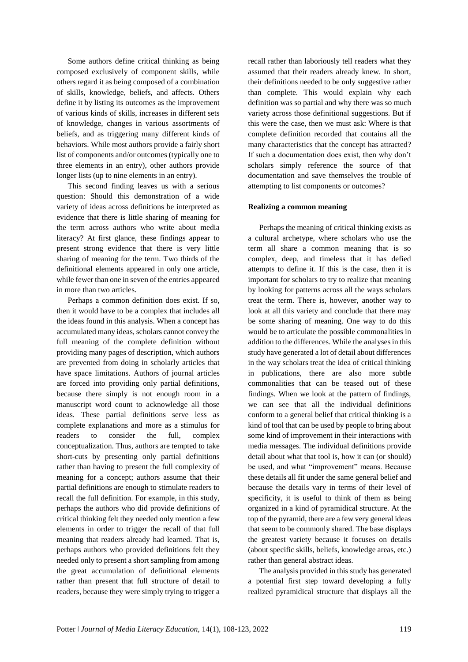Some authors define critical thinking as being composed exclusively of component skills, while others regard it as being composed of a combination of skills, knowledge, beliefs, and affects. Others define it by listing its outcomes as the improvement of various kinds of skills, increases in different sets of knowledge, changes in various assortments of beliefs, and as triggering many different kinds of behaviors. While most authors provide a fairly short list of components and/or outcomes (typically one to three elements in an entry), other authors provide longer lists (up to nine elements in an entry).

This second finding leaves us with a serious question: Should this demonstration of a wide variety of ideas across definitions be interpreted as evidence that there is little sharing of meaning for the term across authors who write about media literacy? At first glance, these findings appear to present strong evidence that there is very little sharing of meaning for the term. Two thirds of the definitional elements appeared in only one article, while fewer than one in seven of the entries appeared in more than two articles.

Perhaps a common definition does exist. If so, then it would have to be a complex that includes all the ideas found in this analysis. When a concept has accumulated many ideas, scholars cannot convey the full meaning of the complete definition without providing many pages of description, which authors are prevented from doing in scholarly articles that have space limitations. Authors of journal articles are forced into providing only partial definitions, because there simply is not enough room in a manuscript word count to acknowledge all those ideas. These partial definitions serve less as complete explanations and more as a stimulus for readers to consider the full, complex conceptualization. Thus, authors are tempted to take short-cuts by presenting only partial definitions rather than having to present the full complexity of meaning for a concept; authors assume that their partial definitions are enough to stimulate readers to recall the full definition. For example, in this study, perhaps the authors who did provide definitions of critical thinking felt they needed only mention a few elements in order to trigger the recall of that full meaning that readers already had learned. That is, perhaps authors who provided definitions felt they needed only to present a short sampling from among the great accumulation of definitional elements rather than present that full structure of detail to readers, because they were simply trying to trigger a

recall rather than laboriously tell readers what they assumed that their readers already knew. In short, their definitions needed to be only suggestive rather than complete. This would explain why each definition was so partial and why there was so much variety across those definitional suggestions. But if this were the case, then we must ask: Where is that complete definition recorded that contains all the many characteristics that the concept has attracted? If such a documentation does exist, then why don't scholars simply reference the source of that documentation and save themselves the trouble of attempting to list components or outcomes?

### **Realizing a common meaning**

Perhaps the meaning of critical thinking exists as a cultural archetype, where scholars who use the term all share a common meaning that is so complex, deep, and timeless that it has defied attempts to define it. If this is the case, then it is important for scholars to try to realize that meaning by looking for patterns across all the ways scholars treat the term. There is, however, another way to look at all this variety and conclude that there may be some sharing of meaning. One way to do this would be to articulate the possible commonalities in addition to the differences. While the analyses in this study have generated a lot of detail about differences in the way scholars treat the idea of critical thinking in publications, there are also more subtle commonalities that can be teased out of these findings. When we look at the pattern of findings, we can see that all the individual definitions conform to a general belief that critical thinking is a kind of tool that can be used by people to bring about some kind of improvement in their interactions with media messages. The individual definitions provide detail about what that tool is, how it can (or should) be used, and what "improvement" means. Because these details all fit under the same general belief and because the details vary in terms of their level of specificity, it is useful to think of them as being organized in a kind of pyramidical structure. At the top of the pyramid, there are a few very general ideas that seem to be commonly shared. The base displays the greatest variety because it focuses on details (about specific skills, beliefs, knowledge areas, etc.) rather than general abstract ideas.

The analysis provided in this study has generated a potential first step toward developing a fully realized pyramidical structure that displays all the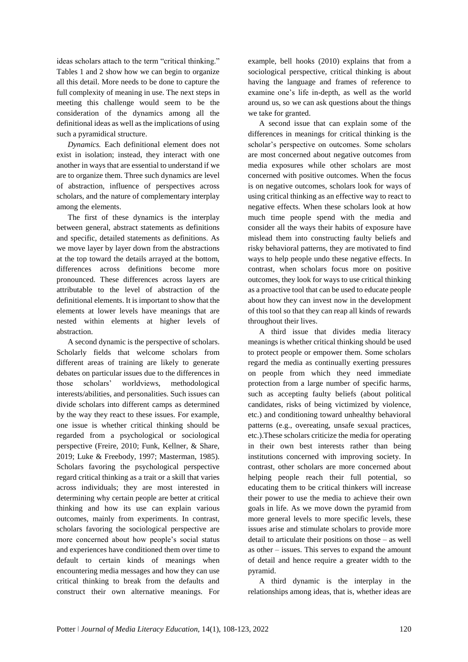ideas scholars attach to the term "critical thinking." Tables 1 and 2 show how we can begin to organize all this detail. More needs to be done to capture the full complexity of meaning in use. The next steps in meeting this challenge would seem to be the consideration of the dynamics among all the definitional ideas as well as the implications of using such a pyramidical structure.

*Dynamics.* Each definitional element does not exist in isolation; instead, they interact with one another in ways that are essential to understand if we are to organize them. Three such dynamics are level of abstraction, influence of perspectives across scholars, and the nature of complementary interplay among the elements.

The first of these dynamics is the interplay between general, abstract statements as definitions and specific, detailed statements as definitions. As we move layer by layer down from the abstractions at the top toward the details arrayed at the bottom, differences across definitions become more pronounced. These differences across layers are attributable to the level of abstraction of the definitional elements. It is important to show that the elements at lower levels have meanings that are nested within elements at higher levels of abstraction.

A second dynamic is the perspective of scholars. Scholarly fields that welcome scholars from different areas of training are likely to generate debates on particular issues due to the differences in those scholars' worldviews, methodological interests/abilities, and personalities. Such issues can divide scholars into different camps as determined by the way they react to these issues. For example, one issue is whether critical thinking should be regarded from a psychological or sociological perspective (Freire, 2010; Funk, Kellner, & Share, 2019; Luke & Freebody, 1997; Masterman, 1985). Scholars favoring the psychological perspective regard critical thinking as a trait or a skill that varies across individuals; they are most interested in determining why certain people are better at critical thinking and how its use can explain various outcomes, mainly from experiments. In contrast, scholars favoring the sociological perspective are more concerned about how people's social status and experiences have conditioned them over time to default to certain kinds of meanings when encountering media messages and how they can use critical thinking to break from the defaults and construct their own alternative meanings. For example, bell hooks (2010) explains that from a sociological perspective, critical thinking is about having the language and frames of reference to examine one's life in-depth, as well as the world around us, so we can ask questions about the things we take for granted.

A second issue that can explain some of the differences in meanings for critical thinking is the scholar's perspective on outcomes. Some scholars are most concerned about negative outcomes from media exposures while other scholars are most concerned with positive outcomes. When the focus is on negative outcomes, scholars look for ways of using critical thinking as an effective way to react to negative effects. When these scholars look at how much time people spend with the media and consider all the ways their habits of exposure have mislead them into constructing faulty beliefs and risky behavioral patterns, they are motivated to find ways to help people undo these negative effects. In contrast, when scholars focus more on positive outcomes, they look for ways to use critical thinking as a proactive tool that can be used to educate people about how they can invest now in the development of this tool so that they can reap all kinds of rewards throughout their lives.

A third issue that divides media literacy meanings is whether critical thinking should be used to protect people or empower them. Some scholars regard the media as continually exerting pressures on people from which they need immediate protection from a large number of specific harms, such as accepting faulty beliefs (about political candidates, risks of being victimized by violence, etc.) and conditioning toward unhealthy behavioral patterns (e.g., overeating, unsafe sexual practices, etc.).These scholars criticize the media for operating in their own best interests rather than being institutions concerned with improving society. In contrast, other scholars are more concerned about helping people reach their full potential, so educating them to be critical thinkers will increase their power to use the media to achieve their own goals in life. As we move down the pyramid from more general levels to more specific levels, these issues arise and stimulate scholars to provide more detail to articulate their positions on those – as well as other – issues. This serves to expand the amount of detail and hence require a greater width to the pyramid.

A third dynamic is the interplay in the relationships among ideas, that is, whether ideas are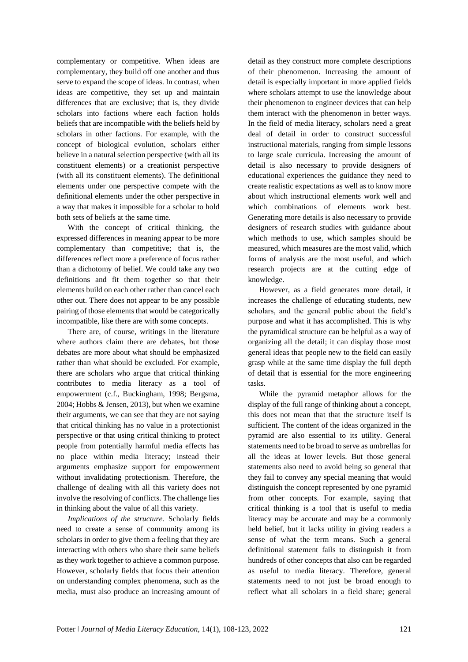complementary or competitive. When ideas are complementary, they build off one another and thus serve to expand the scope of ideas. In contrast, when ideas are competitive, they set up and maintain differences that are exclusive; that is, they divide scholars into factions where each faction holds beliefs that are incompatible with the beliefs held by scholars in other factions. For example, with the concept of biological evolution, scholars either believe in a natural selection perspective (with all its constituent elements) or a creationist perspective (with all its constituent elements). The definitional elements under one perspective compete with the definitional elements under the other perspective in a way that makes it impossible for a scholar to hold both sets of beliefs at the same time.

With the concept of critical thinking, the expressed differences in meaning appear to be more complementary than competitive; that is, the differences reflect more a preference of focus rather than a dichotomy of belief. We could take any two definitions and fit them together so that their elements build on each other rather than cancel each other out. There does not appear to be any possible pairing of those elements that would be categorically incompatible, like there are with some concepts.

There are, of course, writings in the literature where authors claim there are debates, but those debates are more about what should be emphasized rather than what should be excluded. For example, there are scholars who argue that critical thinking contributes to media literacy as a tool of empowerment (c.f., Buckingham, 1998; Bergsma, 2004; Hobbs & Jensen, 2013), but when we examine their arguments, we can see that they are not saying that critical thinking has no value in a protectionist perspective or that using critical thinking to protect people from potentially harmful media effects has no place within media literacy; instead their arguments emphasize support for empowerment without invalidating protectionism. Therefore, the challenge of dealing with all this variety does not involve the resolving of conflicts. The challenge lies in thinking about the value of all this variety.

*Implications of the structure.* Scholarly fields need to create a sense of community among its scholars in order to give them a feeling that they are interacting with others who share their same beliefs as they work together to achieve a common purpose. However, scholarly fields that focus their attention on understanding complex phenomena, such as the media, must also produce an increasing amount of detail as they construct more complete descriptions of their phenomenon. Increasing the amount of detail is especially important in more applied fields where scholars attempt to use the knowledge about their phenomenon to engineer devices that can help them interact with the phenomenon in better ways. In the field of media literacy, scholars need a great deal of detail in order to construct successful instructional materials, ranging from simple lessons to large scale curricula. Increasing the amount of detail is also necessary to provide designers of educational experiences the guidance they need to create realistic expectations as well as to know more about which instructional elements work well and which combinations of elements work best. Generating more details is also necessary to provide designers of research studies with guidance about which methods to use, which samples should be measured, which measures are the most valid, which forms of analysis are the most useful, and which research projects are at the cutting edge of knowledge.

However, as a field generates more detail, it increases the challenge of educating students, new scholars, and the general public about the field's purpose and what it has accomplished. This is why the pyramidical structure can be helpful as a way of organizing all the detail; it can display those most general ideas that people new to the field can easily grasp while at the same time display the full depth of detail that is essential for the more engineering tasks.

While the pyramid metaphor allows for the display of the full range of thinking about a concept, this does not mean that that the structure itself is sufficient. The content of the ideas organized in the pyramid are also essential to its utility. General statements need to be broad to serve as umbrellas for all the ideas at lower levels. But those general statements also need to avoid being so general that they fail to convey any special meaning that would distinguish the concept represented by one pyramid from other concepts. For example, saying that critical thinking is a tool that is useful to media literacy may be accurate and may be a commonly held belief, but it lacks utility in giving readers a sense of what the term means. Such a general definitional statement fails to distinguish it from hundreds of other concepts that also can be regarded as useful to media literacy. Therefore, general statements need to not just be broad enough to reflect what all scholars in a field share; general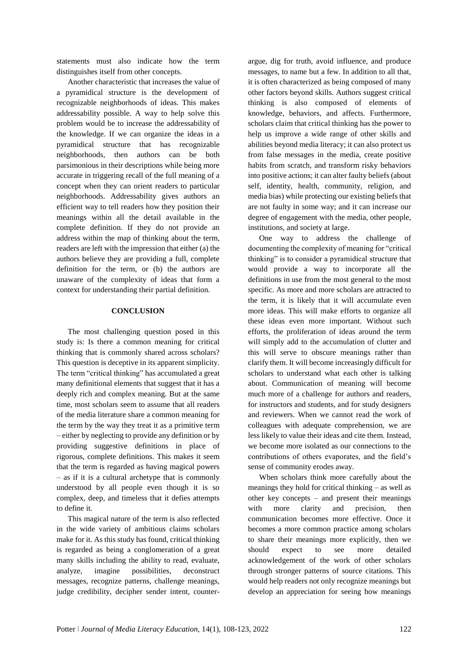statements must also indicate how the term distinguishes itself from other concepts.

Another characteristic that increases the value of a pyramidical structure is the development of recognizable neighborhoods of ideas. This makes addressability possible. A way to help solve this problem would be to increase the addressability of the knowledge. If we can organize the ideas in a pyramidical structure that has recognizable neighborhoods, then authors can be both parsimonious in their descriptions while being more accurate in triggering recall of the full meaning of a concept when they can orient readers to particular neighborhoods. Addressability gives authors an efficient way to tell readers how they position their meanings within all the detail available in the complete definition. If they do not provide an address within the map of thinking about the term, readers are left with the impression that either (a) the authors believe they are providing a full, complete definition for the term, or (b) the authors are unaware of the complexity of ideas that form a context for understanding their partial definition.

# **CONCLUSION**

The most challenging question posed in this study is: Is there a common meaning for critical thinking that is commonly shared across scholars? This question is deceptive in its apparent simplicity. The term "critical thinking" has accumulated a great many definitional elements that suggest that it has a deeply rich and complex meaning. But at the same time, most scholars seem to assume that all readers of the media literature share a common meaning for the term by the way they treat it as a primitive term – either by neglecting to provide any definition or by providing suggestive definitions in place of rigorous, complete definitions. This makes it seem that the term is regarded as having magical powers – as if it is a cultural archetype that is commonly understood by all people even though it is so complex, deep, and timeless that it defies attempts to define it.

This magical nature of the term is also reflected in the wide variety of ambitious claims scholars make for it. As this study has found, critical thinking is regarded as being a conglomeration of a great many skills including the ability to read, evaluate, analyze, imagine possibilities, deconstruct messages, recognize patterns, challenge meanings, judge credibility, decipher sender intent, counterargue, dig for truth, avoid influence, and produce messages, to name but a few. In addition to all that, it is often characterized as being composed of many other factors beyond skills. Authors suggest critical thinking is also composed of elements of knowledge, behaviors, and affects. Furthermore, scholars claim that critical thinking has the power to help us improve a wide range of other skills and abilities beyond media literacy; it can also protect us from false messages in the media, create positive habits from scratch, and transform risky behaviors into positive actions; it can alter faulty beliefs (about self, identity, health, community, religion, and media bias) while protecting our existing beliefs that are not faulty in some way; and it can increase our degree of engagement with the media, other people, institutions, and society at large.

One way to address the challenge of documenting the complexity of meaning for "critical thinking" is to consider a pyramidical structure that would provide a way to incorporate all the definitions in use from the most general to the most specific. As more and more scholars are attracted to the term, it is likely that it will accumulate even more ideas. This will make efforts to organize all these ideas even more important. Without such efforts, the proliferation of ideas around the term will simply add to the accumulation of clutter and this will serve to obscure meanings rather than clarify them. It will become increasingly difficult for scholars to understand what each other is talking about. Communication of meaning will become much more of a challenge for authors and readers, for instructors and students, and for study designers and reviewers. When we cannot read the work of colleagues with adequate comprehension, we are less likely to value their ideas and cite them. Instead, we become more isolated as our connections to the contributions of others evaporates, and the field's sense of community erodes away.

When scholars think more carefully about the meanings they hold for critical thinking – as well as other key concepts – and present their meanings with more clarity and precision, then communication becomes more effective. Once it becomes a more common practice among scholars to share their meanings more explicitly, then we should expect to see more detailed acknowledgement of the work of other scholars through stronger patterns of source citations. This would help readers not only recognize meanings but develop an appreciation for seeing how meanings